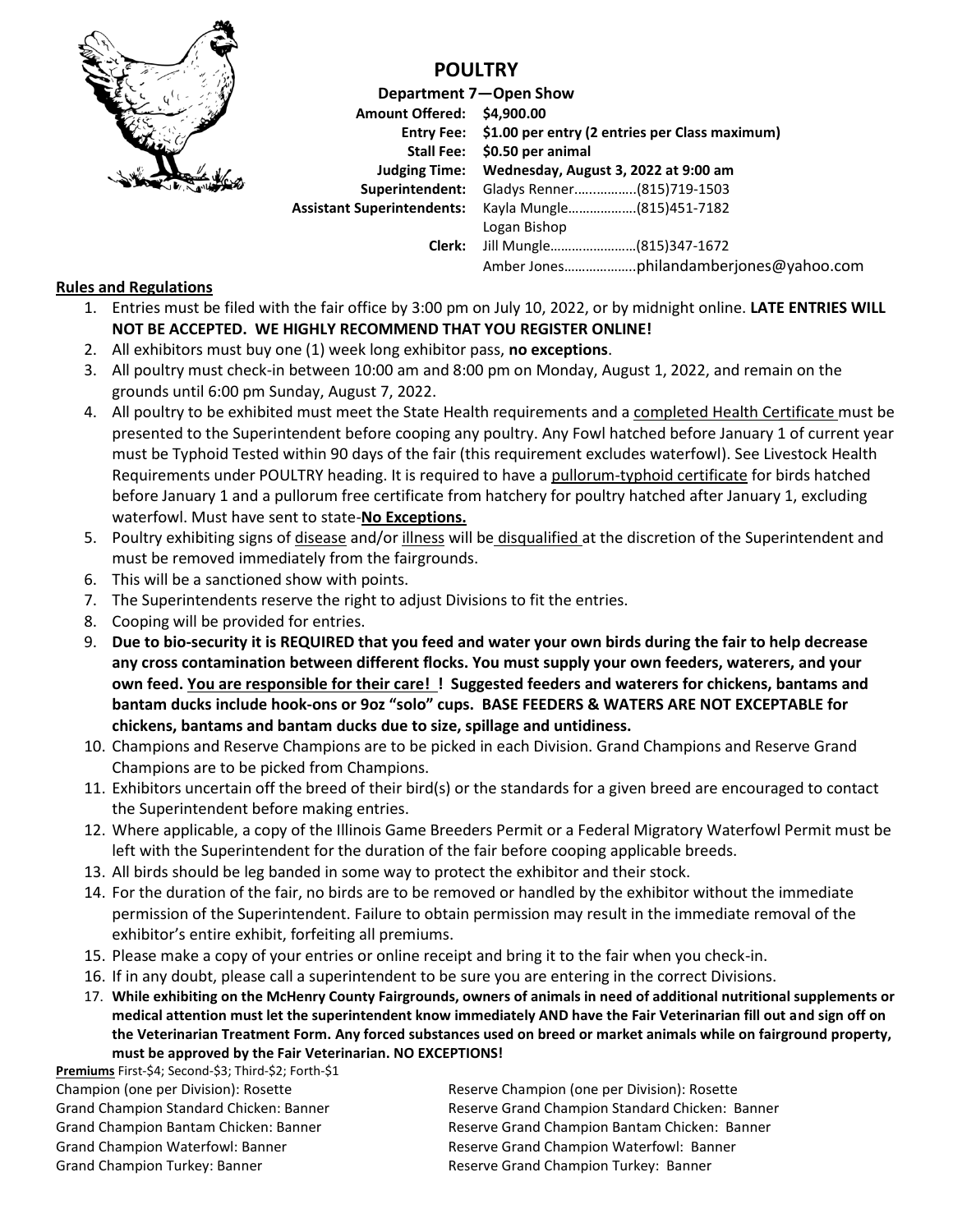

## **POULTRY**

|                                   | Department 7-Open Show                                    |
|-----------------------------------|-----------------------------------------------------------|
| Amount Offered: \$4,900.00        |                                                           |
|                                   | Entry Fee: \$1.00 per entry (2 entries per Class maximum) |
|                                   | Stall Fee: \$0.50 per animal                              |
| <b>Judging Time:</b>              | Wednesday, August 3, 2022 at 9:00 am                      |
| Superintendent:                   | Gladys Renner(815)719-1503                                |
| <b>Assistant Superintendents:</b> | Kayla Mungle(815)451-7182                                 |
|                                   | Logan Bishop                                              |
| Clerk:                            | Jill Mungle(815)347-1672                                  |
|                                   |                                                           |

## **Rules and Regulations**

- 1. Entries must be filed with the fair office by 3:00 pm on July 10, 2022, or by midnight online. **LATE ENTRIES WILL NOT BE ACCEPTED. WE HIGHLY RECOMMEND THAT YOU REGISTER ONLINE!**
- 2. All exhibitors must buy one (1) week long exhibitor pass, **no exceptions**.
- 3. All poultry must check-in between 10:00 am and 8:00 pm on Monday, August 1, 2022, and remain on the grounds until 6:00 pm Sunday, August 7, 2022.
- 4. All poultry to be exhibited must meet the State Health requirements and a completed Health Certificate must be presented to the Superintendent before cooping any poultry. Any Fowl hatched before January 1 of current year must be Typhoid Tested within 90 days of the fair (this requirement excludes waterfowl). See Livestock Health Requirements under POULTRY heading. It is required to have a pullorum-typhoid certificate for birds hatched before January 1 and a pullorum free certificate from hatchery for poultry hatched after January 1, excluding waterfowl. Must have sent to state-**No Exceptions.**
- 5. Poultry exhibiting signs of disease and/or illness will be disqualified at the discretion of the Superintendent and must be removed immediately from the fairgrounds.
- 6. This will be a sanctioned show with points.
- 7. The Superintendents reserve the right to adjust Divisions to fit the entries.
- 8. Cooping will be provided for entries.
- 9. **Due to bio-security it is REQUIRED that you feed and water your own birds during the fair to help decrease any cross contamination between different flocks. You must supply your own feeders, waterers, and your own feed. You are responsible for their care! ! Suggested feeders and waterers for chickens, bantams and bantam ducks include hook-ons or 9oz "solo" cups. BASE FEEDERS & WATERS ARE NOT EXCEPTABLE for chickens, bantams and bantam ducks due to size, spillage and untidiness.**
- 10. Champions and Reserve Champions are to be picked in each Division. Grand Champions and Reserve Grand Champions are to be picked from Champions.
- 11. Exhibitors uncertain off the breed of their bird(s) or the standards for a given breed are encouraged to contact the Superintendent before making entries.
- 12. Where applicable, a copy of the Illinois Game Breeders Permit or a Federal Migratory Waterfowl Permit must be left with the Superintendent for the duration of the fair before cooping applicable breeds.
- 13. All birds should be leg banded in some way to protect the exhibitor and their stock.
- 14. For the duration of the fair, no birds are to be removed or handled by the exhibitor without the immediate permission of the Superintendent. Failure to obtain permission may result in the immediate removal of the exhibitor's entire exhibit, forfeiting all premiums.
- 15. Please make a copy of your entries or online receipt and bring it to the fair when you check-in.
- 16. If in any doubt, please call a superintendent to be sure you are entering in the correct Divisions.
- 17. **While exhibiting on the McHenry County Fairgrounds, owners of animals in need of additional nutritional supplements or medical attention must let the superintendent know immediately AND have the Fair Veterinarian fill out and sign off on the Veterinarian Treatment Form. Any forced substances used on breed or market animals while on fairground property, must be approved by the Fair Veterinarian. NO EXCEPTIONS!**

**Premiums** First-\$4; Second-\$3; Third-\$2; Forth-\$1 Champion (one per Division): Rosette Reserve Champion (one per Division): Rosette Grand Champion Turkey: Banner **Reserve Grand Champion Turkey: Banner** Reserve Grand Champion Turkey: Banner

Grand Champion Standard Chicken: Banner Reserve Grand Champion Standard Chicken: Banner Grand Champion Bantam Chicken: Banner Reserve Grand Champion Bantam Chicken: Banner Grand Champion Waterfowl: Banner **Reserve Grand Champion Waterfowl: Banner** Reserve Grand Champion Waterfowl: Banner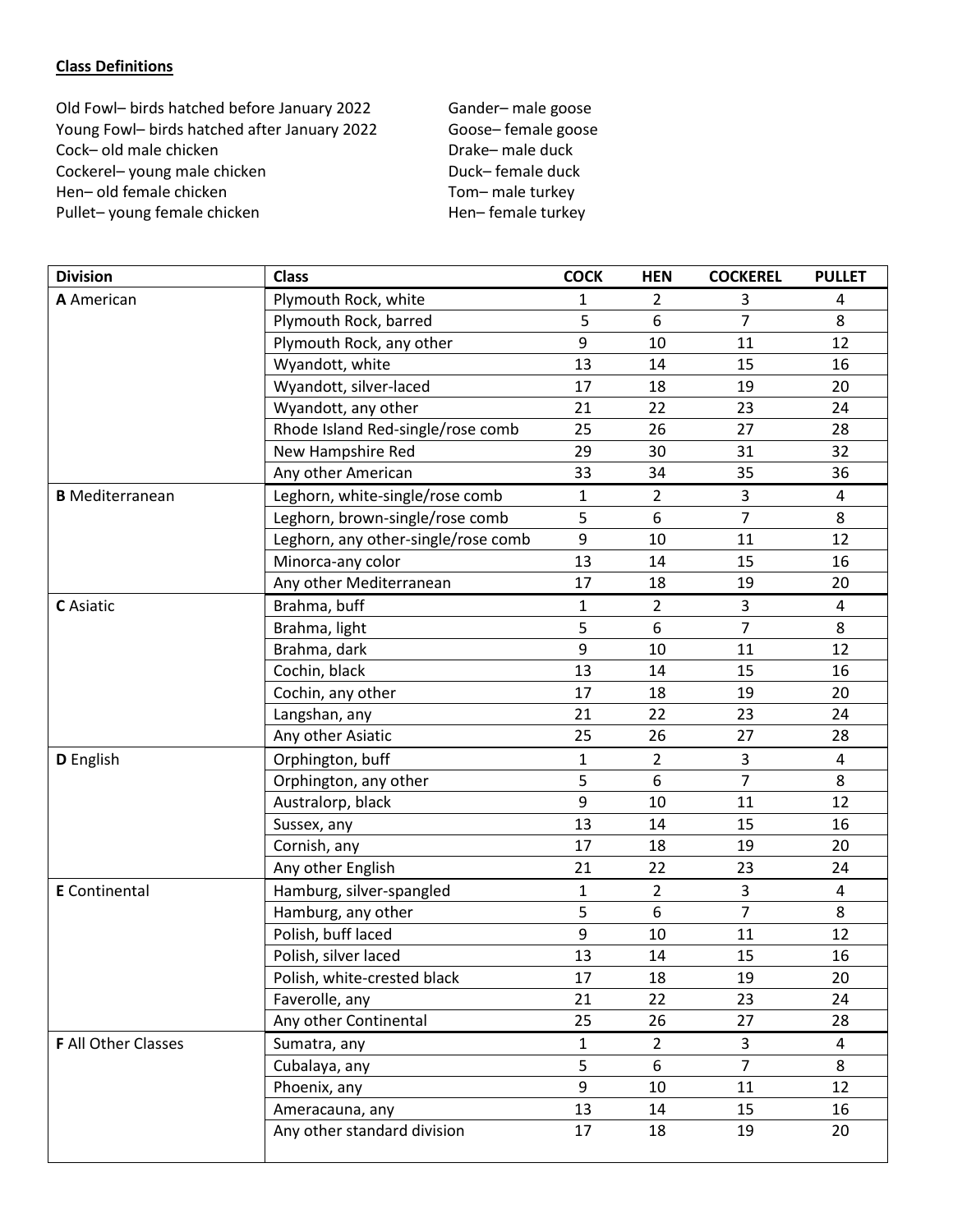## **Class Definitions**

Old Fowl- birds hatched before January 2022 Gander-male goose Young Fowl– birds hatched after January 2022 Goose– female goose Cock– old male chicken Drake– male duck Cockerel– young male chicken Duck– female duck<br>
Hen– old female chicken Duck– Tom– male turkey Hen– old female chicken Pullet– young female chicken Hen– female turkey

| <b>Division</b>        | <b>Class</b>                        | <b>COCK</b>  | <b>HEN</b>     | <b>COCKEREL</b> | <b>PULLET</b> |
|------------------------|-------------------------------------|--------------|----------------|-----------------|---------------|
| A American             | Plymouth Rock, white                | 1            | $\overline{2}$ | 3               | 4             |
|                        | Plymouth Rock, barred               | 5            | 6              | $\overline{7}$  | 8             |
|                        | Plymouth Rock, any other            | 9            | 10             | 11              | 12            |
|                        | Wyandott, white                     | 13           | 14             | 15              | 16            |
|                        | Wyandott, silver-laced              | 17           | 18             | 19              | 20            |
|                        | Wyandott, any other                 | 21           | 22             | 23              | 24            |
|                        | Rhode Island Red-single/rose comb   | 25           | 26             | 27              | 28            |
|                        | New Hampshire Red                   | 29           | 30             | 31              | 32            |
|                        | Any other American                  | 33           | 34             | 35              | 36            |
| <b>B</b> Mediterranean | Leghorn, white-single/rose comb     | 1            | $\overline{2}$ | 3               | 4             |
|                        | Leghorn, brown-single/rose comb     | 5            | 6              | $\overline{7}$  | 8             |
|                        | Leghorn, any other-single/rose comb | 9            | 10             | 11              | 12            |
|                        | Minorca-any color                   | 13           | 14             | 15              | 16            |
|                        | Any other Mediterranean             | 17           | 18             | 19              | 20            |
| C Asiatic              | Brahma, buff                        | 1            | $\overline{2}$ | 3               | 4             |
|                        | Brahma, light                       | 5            | 6              | $\overline{7}$  | 8             |
|                        | Brahma, dark                        | 9            | 10             | 11              | 12            |
|                        | Cochin, black                       | 13           | 14             | 15              | 16            |
|                        | Cochin, any other                   | 17           | 18             | 19              | 20            |
|                        | Langshan, any                       | 21           | 22             | 23              | 24            |
|                        | Any other Asiatic                   | 25           | 26             | 27              | 28            |
| D English              | Orphington, buff                    | $\mathbf{1}$ | $\overline{2}$ | 3               | 4             |
|                        | Orphington, any other               | 5            | 6              | $\overline{7}$  | 8             |
|                        | Australorp, black                   | 9            | 10             | 11              | 12            |
|                        | Sussex, any                         | 13           | 14             | 15              | 16            |
|                        | Cornish, any                        | 17           | 18             | 19              | 20            |
|                        | Any other English                   | 21           | 22             | 23              | 24            |
| <b>E</b> Continental   | Hamburg, silver-spangled            | $\mathbf{1}$ | $\overline{2}$ | 3               | 4             |
|                        | Hamburg, any other                  | 5            | 6              | $\overline{7}$  | 8             |
|                        | Polish, buff laced                  | 9            | 10             | 11              | 12            |
|                        | Polish, silver laced                | 13           | 14             | 15              | 16            |
|                        | Polish, white-crested black         | 17           | 18             | 19              | 20            |
|                        | Faverolle, any                      | 21           | 22             | 23              | 24            |
|                        | Any other Continental               | 25           | 26             | 27              | 28            |
| F All Other Classes    | Sumatra, any                        | 1            | $\overline{2}$ | 3               | 4             |
|                        | Cubalaya, any                       | 5            | 6              | $\overline{7}$  | 8             |
|                        | Phoenix, any                        | 9            | 10             | 11              | 12            |
|                        | Ameracauna, any                     | 13           | 14             | 15              | 16            |
|                        | Any other standard division         | 17           | 18             | 19              | 20            |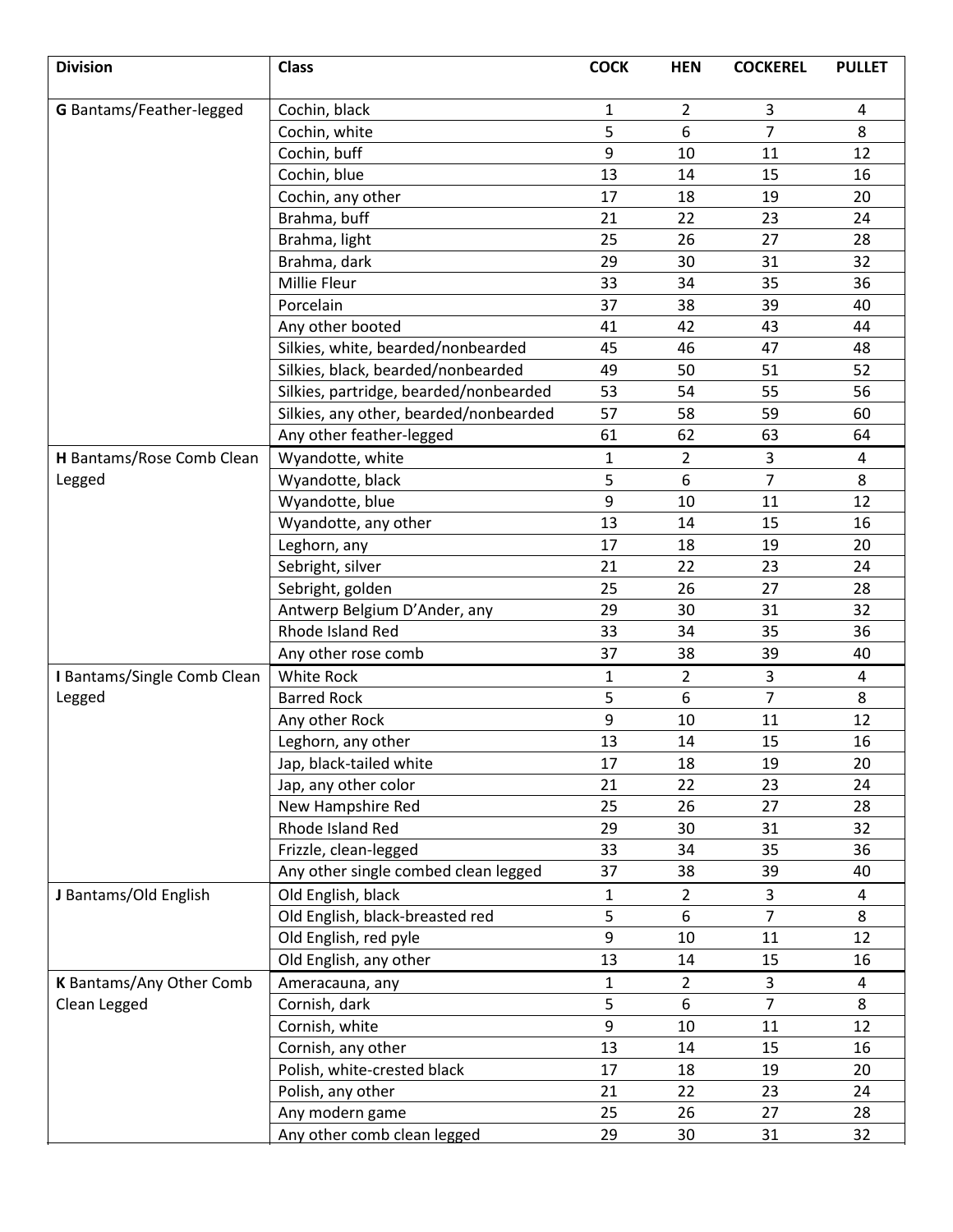| <b>Division</b>             | <b>Class</b>                           | <b>COCK</b>  | <b>HEN</b>     | <b>COCKEREL</b> | <b>PULLET</b>  |
|-----------------------------|----------------------------------------|--------------|----------------|-----------------|----------------|
| G Bantams/Feather-legged    | Cochin, black                          | $\mathbf{1}$ | $\overline{2}$ | 3               | 4              |
|                             | Cochin, white                          | 5            | 6              | 7               | 8              |
|                             | Cochin, buff                           | 9            | 10             | 11              | 12             |
|                             | Cochin, blue                           | 13           | 14             | 15              | 16             |
|                             | Cochin, any other                      | 17           | 18             | 19              | 20             |
|                             | Brahma, buff                           | 21           | 22             | 23              | 24             |
|                             | Brahma, light                          | 25           | 26             | 27              | 28             |
|                             | Brahma, dark                           | 29           | 30             | 31              | 32             |
|                             | Millie Fleur                           | 33           | 34             | 35              | 36             |
|                             | Porcelain                              | 37           | 38             | 39              | 40             |
|                             | Any other booted                       | 41           | 42             | 43              | 44             |
|                             | Silkies, white, bearded/nonbearded     | 45           | 46             | 47              | 48             |
|                             | Silkies, black, bearded/nonbearded     | 49           | 50             | 51              | 52             |
|                             | Silkies, partridge, bearded/nonbearded | 53           | 54             | 55              | 56             |
|                             | Silkies, any other, bearded/nonbearded | 57           | 58             | 59              | 60             |
|                             | Any other feather-legged               | 61           | 62             | 63              | 64             |
| H Bantams/Rose Comb Clean   | Wyandotte, white                       | 1            | $\overline{2}$ | 3               | 4              |
| Legged                      | Wyandotte, black                       | 5            | 6              | $\overline{7}$  | 8              |
|                             | Wyandotte, blue                        | 9            | 10             | 11              | 12             |
|                             | Wyandotte, any other                   | 13           | 14             | 15              | 16             |
|                             | Leghorn, any                           | 17           | 18             | 19              | 20             |
|                             | Sebright, silver                       | 21           | 22             | 23              | 24             |
|                             | Sebright, golden                       | 25           | 26             | 27              | 28             |
|                             | Antwerp Belgium D'Ander, any           | 29           | 30             | 31              | 32             |
|                             | Rhode Island Red                       | 33           | 34             | 35              | 36             |
|                             | Any other rose comb                    | 37           | 38             | 39              | 40             |
| I Bantams/Single Comb Clean | White Rock                             | $\mathbf 1$  | $\overline{2}$ | 3               | $\overline{a}$ |
| Legged                      | <b>Barred Rock</b>                     | 5            | 6              | $\overline{7}$  | 8              |
|                             | Any other Rock                         | 9            | 10             | 11              | 12             |
|                             | Leghorn, any other                     | 13           | 14             | 15              | 16             |
|                             | Jap, black-tailed white                | 17           | 18             | 19              | 20             |
|                             | Jap, any other color                   | 21           | 22             | 23              | 24             |
|                             | New Hampshire Red                      | 25           | 26             | 27              | 28             |
|                             | Rhode Island Red                       | 29           | 30             | 31              | 32             |
|                             | Frizzle, clean-legged                  | 33           | 34             | 35              | 36             |
|                             | Any other single combed clean legged   | 37           | 38             | 39              | 40             |
| J Bantams/Old English       | Old English, black                     | $\mathbf 1$  | $2^{\circ}$    | 3               | 4              |
|                             | Old English, black-breasted red        | 5            | 6              | $\overline{7}$  | 8              |
|                             | Old English, red pyle                  | 9            | 10             | 11              | 12             |
|                             | Old English, any other                 | 13           | 14             | 15              | 16             |
| K Bantams/Any Other Comb    | Ameracauna, any                        | $\mathbf 1$  | $\overline{2}$ | 3               | 4              |
| Clean Legged                | Cornish, dark                          | 5            | 6              | $\overline{7}$  | 8              |
|                             | Cornish, white                         | 9            | 10             | 11              | 12             |
|                             | Cornish, any other                     | 13           | 14             | 15              | 16             |
|                             | Polish, white-crested black            | 17           | 18             | 19              | 20             |
|                             | Polish, any other                      | 21           | 22             | 23              | 24             |
|                             | Any modern game                        | 25           | 26             | 27              | 28             |
|                             | Any other comb clean legged            | 29           | 30             | 31              | 32             |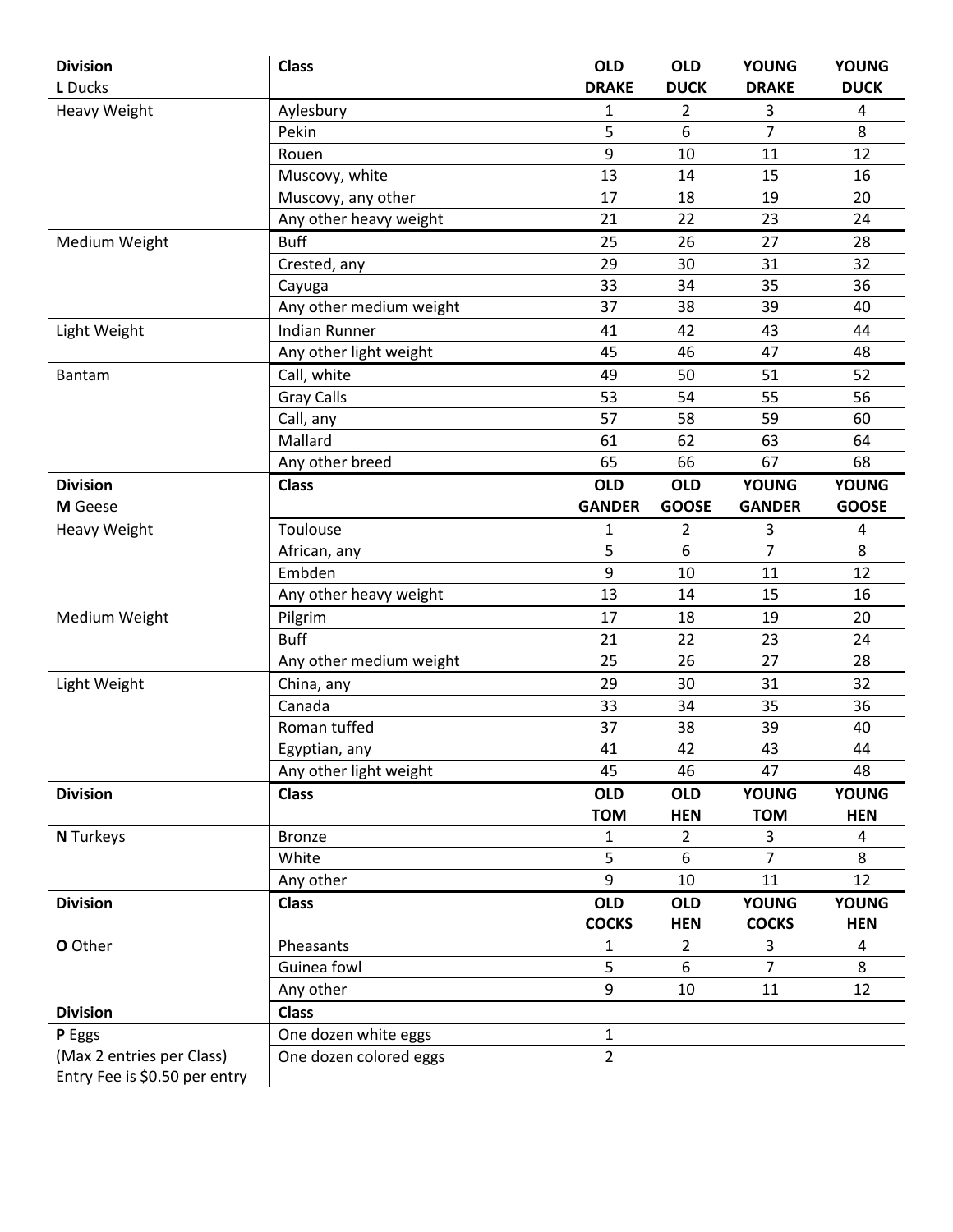| <b>Division</b>               | <b>Class</b>            | <b>OLD</b>     | <b>OLD</b>     | <b>YOUNG</b>   | <b>YOUNG</b> |
|-------------------------------|-------------------------|----------------|----------------|----------------|--------------|
| L Ducks                       |                         | <b>DRAKE</b>   | <b>DUCK</b>    | <b>DRAKE</b>   | <b>DUCK</b>  |
| <b>Heavy Weight</b>           | Aylesbury               | 1              | $\overline{2}$ | 3              | 4            |
|                               | Pekin                   | 5              | 6              | $\overline{7}$ | 8            |
|                               | Rouen                   | 9              | 10             | 11             | 12           |
|                               | Muscovy, white          | 13             | 14             | 15             | 16           |
|                               | Muscovy, any other      | 17             | 18             | 19             | 20           |
|                               | Any other heavy weight  | 21             | 22             | 23             | 24           |
| Medium Weight                 | <b>Buff</b>             | 25             | 26             | 27             | 28           |
|                               | Crested, any            | 29             | 30             | 31             | 32           |
|                               | Cayuga                  | 33             | 34             | 35             | 36           |
|                               | Any other medium weight | 37             | 38             | 39             | 40           |
| Light Weight                  | <b>Indian Runner</b>    | 41             | 42             | 43             | 44           |
|                               | Any other light weight  | 45             | 46             | 47             | 48           |
| Bantam                        | Call, white             | 49             | 50             | 51             | 52           |
|                               | <b>Gray Calls</b>       | 53             | 54             | 55             | 56           |
|                               | Call, any               | 57             | 58             | 59             | 60           |
|                               | Mallard                 | 61             | 62             | 63             | 64           |
|                               | Any other breed         | 65             | 66             | 67             | 68           |
| <b>Division</b>               | <b>Class</b>            | <b>OLD</b>     | <b>OLD</b>     | <b>YOUNG</b>   | <b>YOUNG</b> |
| M Geese                       |                         | <b>GANDER</b>  | <b>GOOSE</b>   | <b>GANDER</b>  | <b>GOOSE</b> |
| <b>Heavy Weight</b>           | Toulouse                | 1              | 2              | 3              | 4            |
|                               | African, any            | 5              | 6              | $\overline{7}$ | 8            |
|                               | Embden                  | 9              | 10             | 11             | 12           |
|                               | Any other heavy weight  | 13             | 14             | 15             | 16           |
| Medium Weight                 | Pilgrim                 | 17             | 18             | 19             | 20           |
|                               | <b>Buff</b>             | 21             | 22             | 23             | 24           |
|                               | Any other medium weight | 25             | 26             | 27             | 28           |
| Light Weight                  | China, any              | 29             | 30             | 31             | 32           |
|                               | Canada                  | 33             | 34             | 35             | 36           |
|                               | Roman tuffed            | 37             | 38             | 39             | 40           |
|                               | Egyptian, any           | 41             | 42             | 43             | 44           |
|                               | Any other light weight  | 45             | 46             | 47             | 48           |
| <b>Division</b>               | <b>Class</b>            | <b>OLD</b>     | <b>OLD</b>     | <b>YOUNG</b>   | <b>YOUNG</b> |
|                               |                         | <b>TOM</b>     | <b>HEN</b>     | <b>TOM</b>     | <b>HEN</b>   |
| <b>N</b> Turkeys              | <b>Bronze</b>           | 1              | $\overline{2}$ | 3              | 4            |
|                               | White                   | 5              | 6              | $\overline{7}$ | 8            |
|                               | Any other               | 9              | 10             | 11             | 12           |
| <b>Division</b>               | <b>Class</b>            | <b>OLD</b>     | <b>OLD</b>     | <b>YOUNG</b>   | <b>YOUNG</b> |
|                               |                         | <b>COCKS</b>   | <b>HEN</b>     | <b>COCKS</b>   | <b>HEN</b>   |
| O Other                       | Pheasants               | 1              | $\overline{2}$ | 3              | 4            |
|                               | Guinea fowl             | 5              | 6              | $\overline{7}$ | 8            |
|                               | Any other               | 9              | 10             | 11             | 12           |
| <b>Division</b>               | <b>Class</b>            |                |                |                |              |
| P Eggs                        | One dozen white eggs    | 1              |                |                |              |
| (Max 2 entries per Class)     | One dozen colored eggs  | $\overline{2}$ |                |                |              |
| Entry Fee is \$0.50 per entry |                         |                |                |                |              |